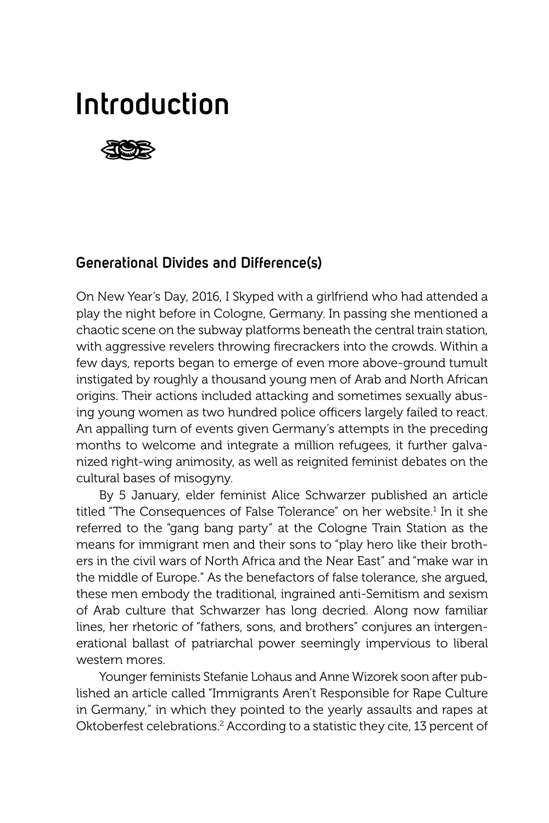# **Introduction**



## **Generational Divides and Difference(s)**

On New Year's Day, 2016, I Skyped with a girlfriend who had attended a play the night before in Cologne, Germany. In passing she mentioned a chaotic scene on the subway platforms beneath the central train station, with aggressive revelers throwing firecrackers into the crowds. Within a few days, reports began to emerge of even more above-ground tumult instigated by roughly a thousand young men of Arab and North African origins. Their actions included attacking and sometimes sexually abusing young women as two hundred police officers largely failed to react. An appalling turn of events given Germany's attempts in the preceding months to welcome and integrate a million refugees, it further galvanized right-wing animosity, as well as reignited feminist debates on the cultural bases of misogyny.

By 5 January, elder feminist Alice Schwarzer published an article titled "The Consequences of False Tolerance" on her website.<sup>1</sup> In it she referred to the "gang bang party" at the Cologne Train Station as the means for immigrant men and their sons to "play hero like their brothers in the civil wars of North Africa and the Near East" and "make war in the middle of Europe." As the benefactors of false tolerance, she argued, these men embody the traditional, ingrained anti-Semitism and sexism of Arab culture that Schwarzer has long decried. Along now familiar lines, her rhetoric of "fathers, sons, and brothers" conjures an intergenerational ballast of patriarchal power seemingly impervious to liberal western mores.

Younger feminists Stefanie Lohaus and Anne Wizorek soon after published an article called "Immigrants Aren't Responsible for Rape Culture in Germany," in which they pointed to the yearly assaults and rapes at Oktoberfest celebrations.<sup>2</sup> According to a statistic they cite, 13 percent of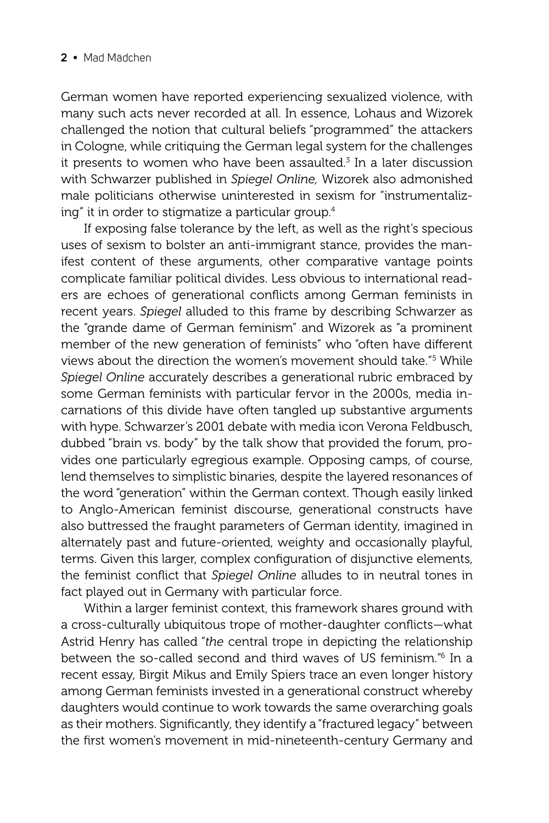German women have reported experiencing sexualized violence, with many such acts never recorded at all. In essence, Lohaus and Wizorek challenged the notion that cultural beliefs "programmed" the attackers in Cologne, while critiquing the German legal system for the challenges it presents to women who have been assaulted.<sup>3</sup> In a later discussion with Schwarzer published in *Spiegel Online,* Wizorek also admonished male politicians otherwise uninterested in sexism for "instrumentalizing" it in order to stigmatize a particular group.4

If exposing false tolerance by the left, as well as the right's specious uses of sexism to bolster an anti-immigrant stance, provides the manifest content of these arguments, other comparative vantage points complicate familiar political divides. Less obvious to international readers are echoes of generational conflicts among German feminists in recent years. *Spiegel* alluded to this frame by describing Schwarzer as the "grande dame of German feminism" and Wizorek as "a prominent member of the new generation of feminists" who "often have different views about the direction the women's movement should take."5 While *Spiegel Online* accurately describes a generational rubric embraced by some German feminists with particular fervor in the 2000s, media incarnations of this divide have often tangled up substantive arguments with hype. Schwarzer's 2001 debate with media icon Verona Feldbusch, dubbed "brain vs. body" by the talk show that provided the forum, provides one particularly egregious example. Opposing camps, of course, lend themselves to simplistic binaries, despite the layered resonances of the word "generation" within the German context. Though easily linked to Anglo-American feminist discourse, generational constructs have also buttressed the fraught parameters of German identity, imagined in alternately past and future-oriented, weighty and occasionally playful, terms. Given this larger, complex configuration of disjunctive elements, the feminist conflict that Spiegel Online alludes to in neutral tones in fact played out in Germany with particular force.

Within a larger feminist context, this framework shares ground with a cross-culturally ubiquitous trope of mother-daughter conflicts-what Astrid Henry has called "*the* central trope in depicting the relationship between the so-called second and third waves of US feminism."6 In a recent essay, Birgit Mikus and Emily Spiers trace an even longer history among German feminists invested in a generational construct whereby daughters would continue to work towards the same overarching goals as their mothers. Significantly, they identify a "fractured legacy" between the first women's movement in mid-nineteenth-century Germany and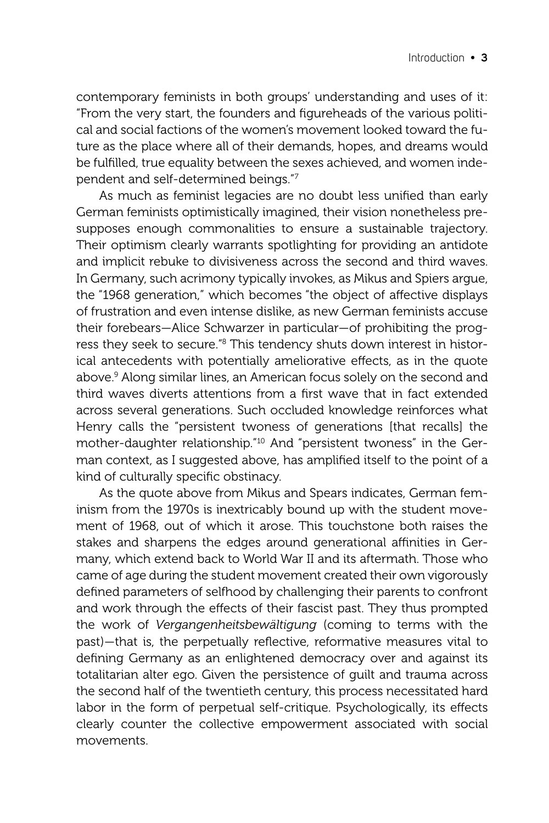contemporary feminists in both groups' understanding and uses of it: "From the very start, the founders and figureheads of the various political and social factions of the women's movement looked toward the future as the place where all of their demands, hopes, and dreams would be fulfilled, true equality between the sexes achieved, and women independent and self-determined beings."7

As much as feminist legacies are no doubt less unified than early German feminists optimistically imagined, their vision nonetheless presupposes enough commonalities to ensure a sustainable trajectory. Their optimism clearly warrants spotlighting for providing an antidote and implicit rebuke to divisiveness across the second and third waves. In Germany, such acrimony typically invokes, as Mikus and Spiers argue, the "1968 generation," which becomes "the object of affective displays of frustration and even intense dislike, as new German feminists accuse their forebears—Alice Schwarzer in particular—of prohibiting the progress they seek to secure."<sup>8</sup> This tendency shuts down interest in historical antecedents with potentially ameliorative effects, as in the quote above.9 Along similar lines, an American focus solely on the second and third waves diverts attentions from a first wave that in fact extended across several generations. Such occluded knowledge reinforces what Henry calls the "persistent twoness of generations [that recalls] the mother-daughter relationship."10 And "persistent twoness" in the German context, as I suggested above, has amplified itself to the point of a kind of culturally specific obstinacy.

As the quote above from Mikus and Spears indicates, German feminism from the 1970s is inextricably bound up with the student movement of 1968, out of which it arose. This touchstone both raises the stakes and sharpens the edges around generational affinities in Germany, which extend back to World War II and its aftermath. Those who came of age during the student movement created their own vigorously defined parameters of selfhood by challenging their parents to confront and work through the effects of their fascist past. They thus prompted the work of *Vergangenheitsbewältigung* (coming to terms with the past)—that is, the perpetually reflective, reformative measures vital to defining Germany as an enlightened democracy over and against its totalitarian alter ego. Given the persistence of guilt and trauma across the second half of the twentieth century, this process necessitated hard labor in the form of perpetual self-critique. Psychologically, its effects clearly counter the collective empowerment associated with social movements.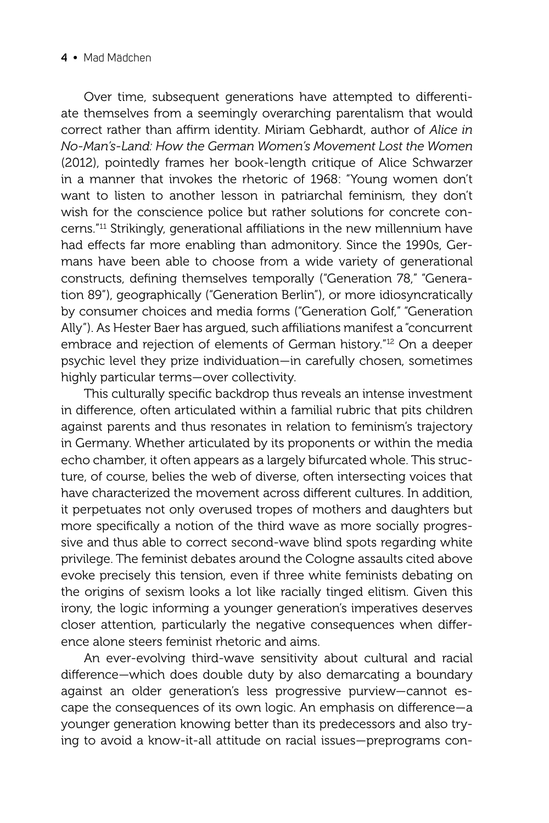#### **4 •** Mad Mädchen

Over time, subsequent generations have attempted to differentiate themselves from a seemingly overarching parentalism that would correct rather than affirm identity. Miriam Gebhardt, author of Alice in *No-Man's-Land: How the German Women's Movement Lost the Women* (2012), pointedly frames her book-length critique of Alice Schwarzer in a manner that invokes the rhetoric of 1968: "Young women don't want to listen to another lesson in patriarchal feminism, they don't wish for the conscience police but rather solutions for concrete concerns."<sup>11</sup> Strikingly, generational affiliations in the new millennium have had effects far more enabling than admonitory. Since the 1990s, Germans have been able to choose from a wide variety of generational constructs, defining themselves temporally ("Generation 78," "Generation 89"), geographically ("Generation Berlin"), or more idiosyncratically by consumer choices and media forms ("Generation Golf," "Generation Ally"). As Hester Baer has argued, such affiliations manifest a "concurrent" embrace and rejection of elements of German history."12 On a deeper psychic level they prize individuation—in carefully chosen, sometimes highly particular terms—over collectivity.

This culturally specific backdrop thus reveals an intense investment in difference, often articulated within a familial rubric that pits children against parents and thus resonates in relation to feminism's trajectory in Germany. Whether articulated by its proponents or within the media echo chamber, it often appears as a largely bifurcated whole. This structure, of course, belies the web of diverse, often intersecting voices that have characterized the movement across different cultures. In addition, it perpetuates not only overused tropes of mothers and daughters but more specifically a notion of the third wave as more socially progressive and thus able to correct second-wave blind spots regarding white privilege. The feminist debates around the Cologne assaults cited above evoke precisely this tension, even if three white feminists debating on the origins of sexism looks a lot like racially tinged elitism. Given this irony, the logic informing a younger generation's imperatives deserves closer attention, particularly the negative consequences when difference alone steers feminist rhetoric and aims.

An ever-evolving third-wave sensitivity about cultural and racial difference—which does double duty by also demarcating a boundary against an older generation's less progressive purview—cannot escape the consequences of its own logic. An emphasis on difference—a younger generation knowing better than its predecessors and also trying to avoid a know-it-all attitude on racial issues—preprograms con-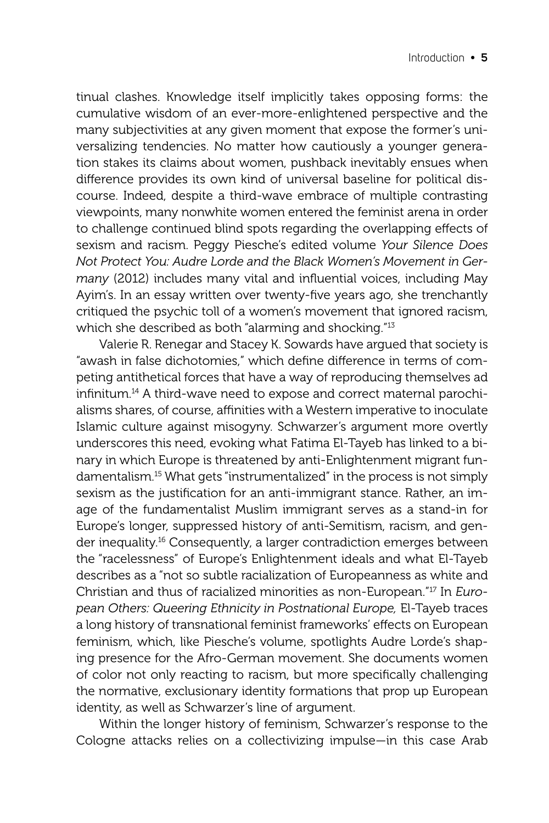tinual clashes. Knowledge itself implicitly takes opposing forms: the cumulative wisdom of an ever-more-enlightened perspective and the many subjectivities at any given moment that expose the former's universalizing tendencies. No matter how cautiously a younger generation stakes its claims about women, pushback inevitably ensues when difference provides its own kind of universal baseline for political discourse. Indeed, despite a third-wave embrace of multiple contrasting viewpoints, many nonwhite women entered the feminist arena in order to challenge continued blind spots regarding the overlapping effects of sexism and racism. Peggy Piesche's edited volume *Your Silence Does Not Protect You: Audre Lorde and the Black Women's Movement in Germany* (2012) includes many vital and influential voices, including May Ayim's. In an essay written over twenty-five years ago, she trenchantly critiqued the psychic toll of a women's movement that ignored racism, which she described as both "alarming and shocking."13

Valerie R. Renegar and Stacey K. Sowards have argued that society is "awash in false dichotomies," which define difference in terms of competing antithetical forces that have a way of reproducing themselves ad infinitum.<sup>14</sup> A third-wave need to expose and correct maternal parochialisms shares, of course, affinities with a Western imperative to inoculate Islamic culture against misogyny. Schwarzer's argument more overtly underscores this need, evoking what Fatima El-Tayeb has linked to a binary in which Europe is threatened by anti-Enlightenment migrant fundamentalism.15 What gets "instrumentalized" in the process is not simply sexism as the justification for an anti-immigrant stance. Rather, an image of the fundamentalist Muslim immigrant serves as a stand-in for Europe's longer, suppressed history of anti-Semitism, racism, and gender inequality.<sup>16</sup> Consequently, a larger contradiction emerges between the "racelessness" of Europe's Enlightenment ideals and what El-Tayeb describes as a "not so subtle racialization of Europeanness as white and Christian and thus of racialized minorities as non-European."17 In *European Others: Queering Ethnicity in Postnational Europe,* El-Tayeb traces a long history of transnational feminist frameworks' effects on European feminism, which, like Piesche's volume, spotlights Audre Lorde's shaping presence for the Afro-German movement. She documents women of color not only reacting to racism, but more specifically challenging the normative, exclusionary identity formations that prop up European identity, as well as Schwarzer's line of argument.

Within the longer history of feminism, Schwarzer's response to the Cologne attacks relies on a collectivizing impulse—in this case Arab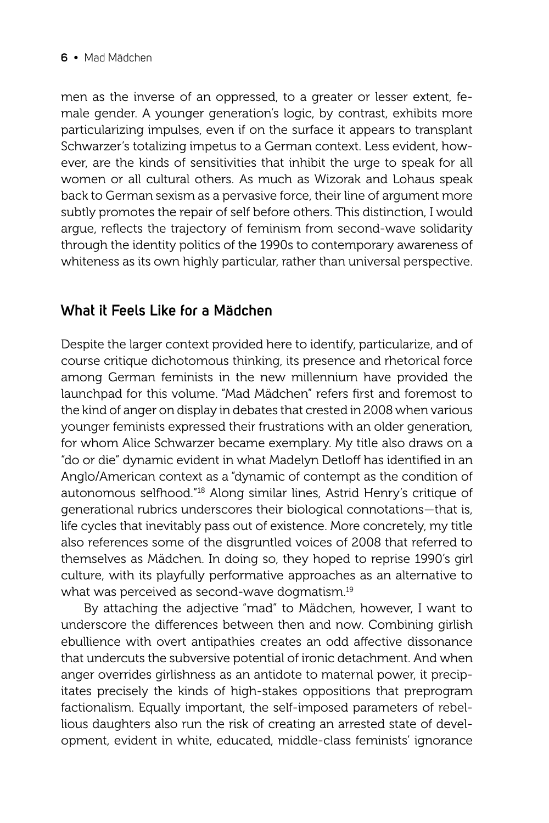men as the inverse of an oppressed, to a greater or lesser extent, female gender. A younger generation's logic, by contrast, exhibits more particularizing impulses, even if on the surface it appears to transplant Schwarzer's totalizing impetus to a German context. Less evident, however, are the kinds of sensitivities that inhibit the urge to speak for all women or all cultural others. As much as Wizorak and Lohaus speak back to German sexism as a pervasive force, their line of argument more subtly promotes the repair of self before others. This distinction, I would argue, reflects the trajectory of feminism from second-wave solidarity through the identity politics of the 1990s to contemporary awareness of whiteness as its own highly particular, rather than universal perspective.

## **What it Feels Like for a Mädchen**

Despite the larger context provided here to identify, particularize, and of course critique dichotomous thinking, its presence and rhetorical force among German feminists in the new millennium have provided the launchpad for this volume. "Mad Mädchen" refers first and foremost to the kind of anger on display in debates that crested in 2008 when various younger feminists expressed their frustrations with an older generation, for whom Alice Schwarzer became exemplary. My title also draws on a "do or die" dynamic evident in what Madelyn Detloff has identified in an Anglo/American context as a "dynamic of contempt as the condition of autonomous selfhood."18 Along similar lines, Astrid Henry's critique of generational rubrics underscores their biological connotations—that is, life cycles that inevitably pass out of existence. More concretely, my title also references some of the disgruntled voices of 2008 that referred to themselves as Mädchen. In doing so, they hoped to reprise 1990's girl culture, with its playfully performative approaches as an alternative to what was perceived as second-wave dogmatism.<sup>19</sup>

By attaching the adjective "mad" to Mädchen, however, I want to underscore the differences between then and now. Combining girlish ebullience with overt antipathies creates an odd affective dissonance that undercuts the subversive potential of ironic detachment. And when anger overrides girlishness as an antidote to maternal power, it precipitates precisely the kinds of high-stakes oppositions that preprogram factionalism. Equally important, the self-imposed parameters of rebellious daughters also run the risk of creating an arrested state of development, evident in white, educated, middle-class feminists' ignorance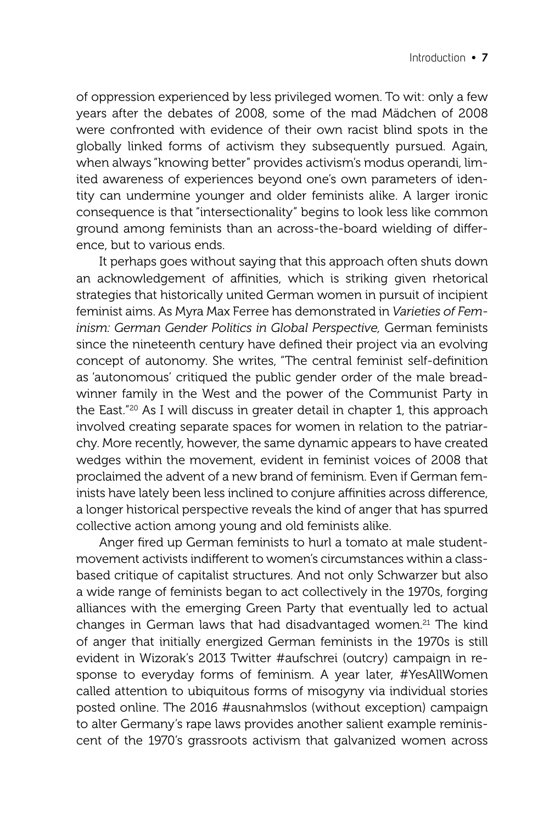of oppression experienced by less privileged women. To wit: only a few years after the debates of 2008, some of the mad Mädchen of 2008 were confronted with evidence of their own racist blind spots in the globally linked forms of activism they subsequently pursued. Again, when always "knowing better" provides activism's modus operandi, limited awareness of experiences beyond one's own parameters of identity can undermine younger and older feminists alike. A larger ironic consequence is that "intersectionality" begins to look less like common ground among feminists than an across-the-board wielding of difference, but to various ends.

It perhaps goes without saying that this approach often shuts down an acknowledgement of affinities, which is striking given rhetorical strategies that historically united German women in pursuit of incipient feminist aims. As Myra Max Ferree has demonstrated in *Varieties of Feminism: German Gender Politics in Global Perspective,* German feminists since the nineteenth century have defined their project via an evolving concept of autonomy. She writes, "The central feminist self-definition as 'autonomous' critiqued the public gender order of the male breadwinner family in the West and the power of the Communist Party in the East."20 As I will discuss in greater detail in chapter 1, this approach involved creating separate spaces for women in relation to the patriarchy. More recently, however, the same dynamic appears to have created wedges within the movement, evident in feminist voices of 2008 that proclaimed the advent of a new brand of feminism. Even if German feminists have lately been less inclined to conjure affinities across difference. a longer historical perspective reveals the kind of anger that has spurred collective action among young and old feminists alike.

Anger fired up German feminists to hurl a tomato at male studentmovement activists indifferent to women's circumstances within a classbased critique of capitalist structures. And not only Schwarzer but also a wide range of feminists began to act collectively in the 1970s, forging alliances with the emerging Green Party that eventually led to actual changes in German laws that had disadvantaged women.<sup>21</sup> The kind of anger that initially energized German feminists in the 1970s is still evident in Wizorak's 2013 Twitter #aufschrei (outcry) campaign in response to everyday forms of feminism. A year later, #YesAllWomen called attention to ubiquitous forms of misogyny via individual stories posted online. The 2016 #ausnahmslos (without exception) campaign to alter Germany's rape laws provides another salient example reminiscent of the 1970's grassroots activism that galvanized women across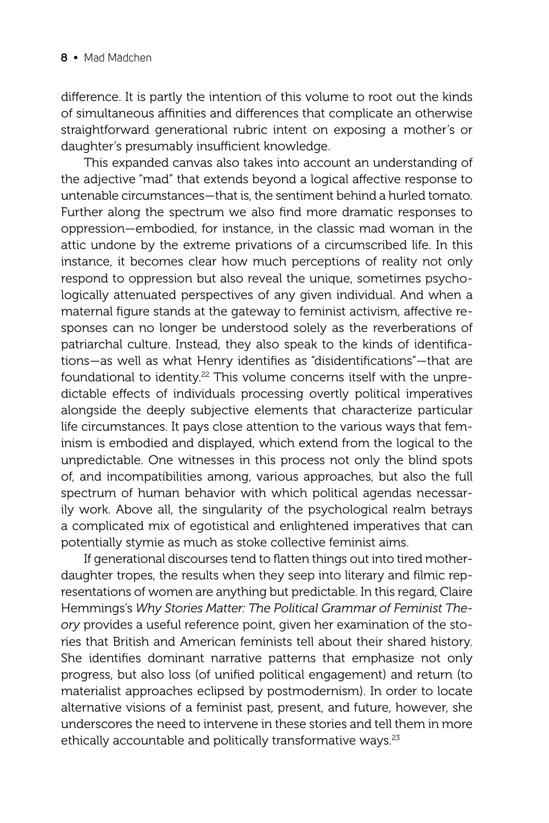difference. It is partly the intention of this volume to root out the kinds of simultaneous affinities and differences that complicate an otherwise straightforward generational rubric intent on exposing a mother's or daughter's presumably insufficient knowledge.

This expanded canvas also takes into account an understanding of the adjective "mad" that extends beyond a logical affective response to untenable circumstances—that is, the sentiment behind a hurled tomato. Further along the spectrum we also find more dramatic responses to oppression—embodied, for instance, in the classic mad woman in the attic undone by the extreme privations of a circumscribed life. In this instance, it becomes clear how much perceptions of reality not only respond to oppression but also reveal the unique, sometimes psychologically attenuated perspectives of any given individual. And when a maternal figure stands at the gateway to feminist activism, affective responses can no longer be understood solely as the reverberations of patriarchal culture. Instead, they also speak to the kinds of identifications—as well as what Henry identifies as "disidentifications"—that are foundational to identity.<sup>22</sup> This volume concerns itself with the unpredictable effects of individuals processing overtly political imperatives alongside the deeply subjective elements that characterize particular life circumstances. It pays close attention to the various ways that feminism is embodied and displayed, which extend from the logical to the unpredictable. One witnesses in this process not only the blind spots of, and incompatibilities among, various approaches, but also the full spectrum of human behavior with which political agendas necessarily work. Above all, the singularity of the psychological realm betrays a complicated mix of egotistical and enlightened imperatives that can potentially stymie as much as stoke collective feminist aims.

If generational discourses tend to flatten things out into tired motherdaughter tropes, the results when they seep into literary and filmic representations of women are anything but predictable. In this regard, Claire Hemmings's *Why Stories Matter: The Political Grammar of Feminist Theory* provides a useful reference point, given her examination of the stories that British and American feminists tell about their shared history. She identifies dominant narrative patterns that emphasize not only progress, but also loss (of unified political engagement) and return (to materialist approaches eclipsed by postmodernism). In order to locate alternative visions of a feminist past, present, and future, however, she underscores the need to intervene in these stories and tell them in more ethically accountable and politically transformative ways.<sup>23</sup>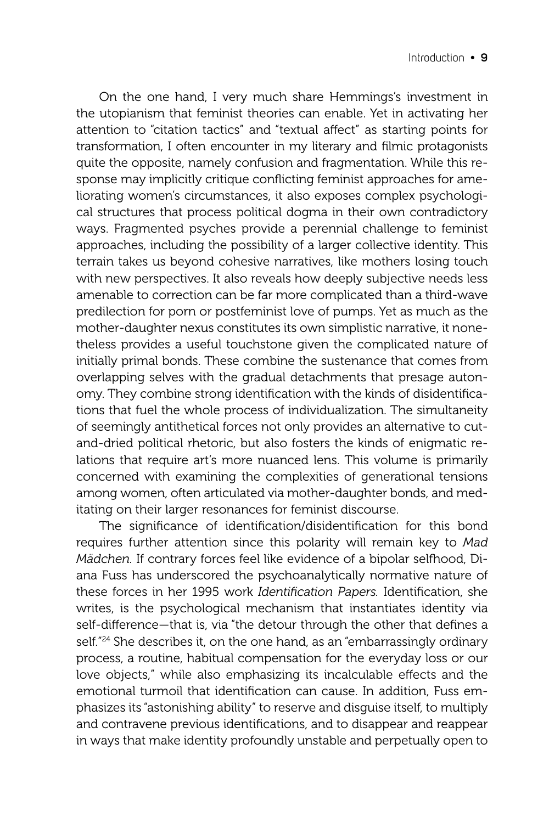On the one hand, I very much share Hemmings's investment in the utopianism that feminist theories can enable. Yet in activating her attention to "citation tactics" and "textual affect" as starting points for transformation, I often encounter in my literary and filmic protagonists quite the opposite, namely confusion and fragmentation. While this response may implicitly critique conflicting feminist approaches for ameliorating women's circumstances, it also exposes complex psychological structures that process political dogma in their own contradictory ways. Fragmented psyches provide a perennial challenge to feminist approaches, including the possibility of a larger collective identity. This terrain takes us beyond cohesive narratives, like mothers losing touch with new perspectives. It also reveals how deeply subjective needs less amenable to correction can be far more complicated than a third-wave predilection for porn or postfeminist love of pumps. Yet as much as the mother-daughter nexus constitutes its own simplistic narrative, it nonetheless provides a useful touchstone given the complicated nature of initially primal bonds. These combine the sustenance that comes from overlapping selves with the gradual detachments that presage autonomy. They combine strong identification with the kinds of disidentifications that fuel the whole process of individualization. The simultaneity of seemingly antithetical forces not only provides an alternative to cutand-dried political rhetoric, but also fosters the kinds of enigmatic relations that require art's more nuanced lens. This volume is primarily concerned with examining the complexities of generational tensions among women, often articulated via mother-daughter bonds, and meditating on their larger resonances for feminist discourse.

The significance of identification/disidentification for this bond requires further attention since this polarity will remain key to *Mad Mädchen.* If contrary forces feel like evidence of a bipolar selfhood, Diana Fuss has underscored the psychoanalytically normative nature of these forces in her 1995 work *Identification Papers*. Identification, she writes, is the psychological mechanism that instantiates identity via self-difference—that is, via "the detour through the other that defines a self.<sup>"24</sup> She describes it, on the one hand, as an "embarrassingly ordinary process, a routine, habitual compensation for the everyday loss or our love objects," while also emphasizing its incalculable effects and the emotional turmoil that identification can cause. In addition, Fuss emphasizes its "astonishing ability" to reserve and disguise itself, to multiply and contravene previous identifications, and to disappear and reappear in ways that make identity profoundly unstable and perpetually open to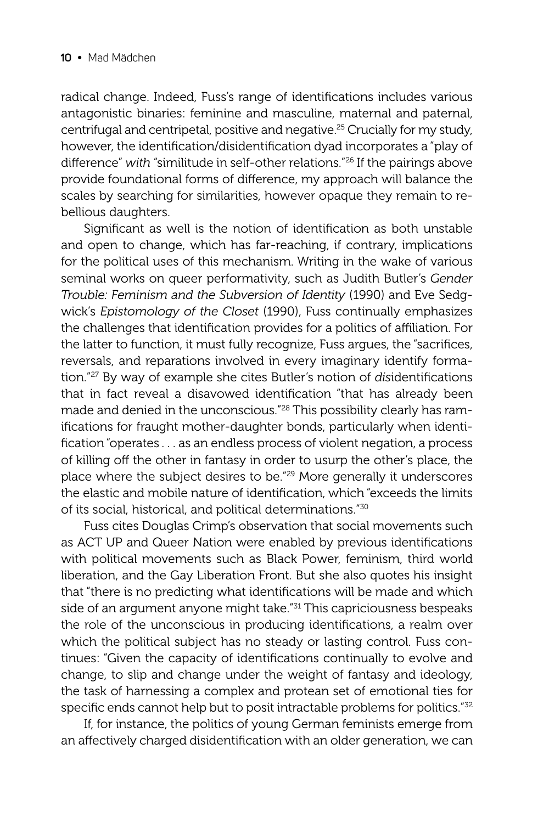radical change. Indeed, Fuss's range of identifications includes various antagonistic binaries: feminine and masculine, maternal and paternal, centrifugal and centripetal, positive and negative.25 Crucially for my study, however, the identification/disidentification dyad incorporates a "play of difference" with "similitude in self-other relations."<sup>26</sup> If the pairings above provide foundational forms of difference, my approach will balance the scales by searching for similarities, however opaque they remain to rebellious daughters.

Significant as well is the notion of identification as both unstable and open to change, which has far-reaching, if contrary, implications for the political uses of this mechanism. Writing in the wake of various seminal works on queer performativity, such as Judith Butler's *Gender Trouble: Feminism and the Subversion of Identity* (1990) and Eve Sedgwick's *Epistomology of the Closet* (1990), Fuss continually emphasizes the challenges that identification provides for a politics of affiliation. For the latter to function, it must fully recognize, Fuss argues, the "sacrifices, reversals, and reparations involved in every imaginary identify formation."<sup>27</sup> By way of example she cites Butler's notion of *disidentifications* that in fact reveal a disavowed identification "that has already been made and denied in the unconscious."28 This possibility clearly has ramifications for fraught mother-daughter bonds, particularly when identification "operates . . . as an endless process of violent negation, a process of killing off the other in fantasy in order to usurp the other's place, the place where the subject desires to be."29 More generally it underscores the elastic and mobile nature of identification, which "exceeds the limits of its social, historical, and political determinations."30

Fuss cites Douglas Crimp's observation that social movements such as ACT UP and Queer Nation were enabled by previous identifications with political movements such as Black Power, feminism, third world liberation, and the Gay Liberation Front. But she also quotes his insight that "there is no predicting what identifications will be made and which side of an argument anyone might take."<sup>31</sup> This capriciousness bespeaks the role of the unconscious in producing identifications, a realm over which the political subject has no steady or lasting control. Fuss continues: "Given the capacity of identifications continually to evolve and change, to slip and change under the weight of fantasy and ideology, the task of harnessing a complex and protean set of emotional ties for specific ends cannot help but to posit intractable problems for politics."<sup>32</sup>

If, for instance, the politics of young German feminists emerge from an affectively charged disidentification with an older generation, we can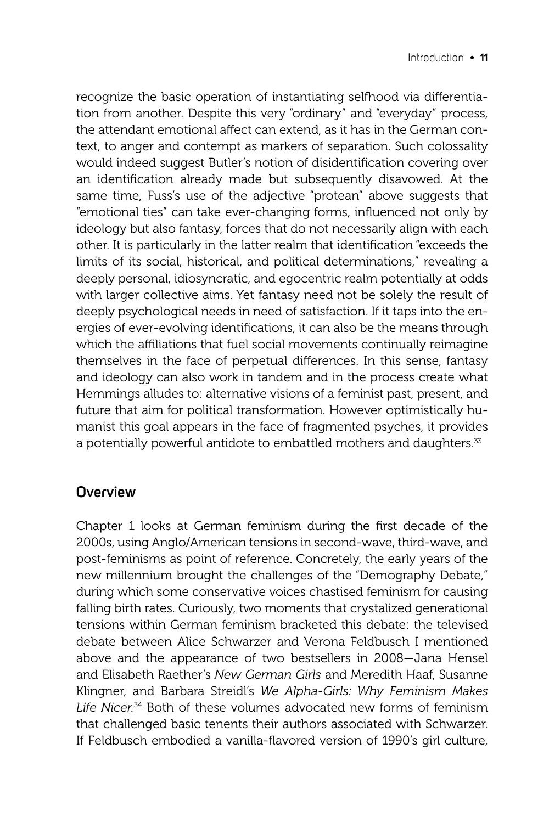recognize the basic operation of instantiating selfhood via differentiation from another. Despite this very "ordinary" and "everyday" process, the attendant emotional affect can extend, as it has in the German context, to anger and contempt as markers of separation. Such colossality would indeed suggest Butler's notion of disidentification covering over an identification already made but subsequently disavowed. At the same time, Fuss's use of the adjective "protean" above suggests that "emotional ties" can take ever-changing forms, influenced not only by ideology but also fantasy, forces that do not necessarily align with each other. It is particularly in the latter realm that identification "exceeds the limits of its social, historical, and political determinations," revealing a deeply personal, idiosyncratic, and egocentric realm potentially at odds with larger collective aims. Yet fantasy need not be solely the result of deeply psychological needs in need of satisfaction. If it taps into the energies of ever-evolving identifications, it can also be the means through which the affiliations that fuel social movements continually reimagine themselves in the face of perpetual differences. In this sense, fantasy and ideology can also work in tandem and in the process create what Hemmings alludes to: alternative visions of a feminist past, present, and future that aim for political transformation. However optimistically humanist this goal appears in the face of fragmented psyches, it provides a potentially powerful antidote to embattled mothers and daughters.<sup>33</sup>

## **Overview**

Chapter 1 looks at German feminism during the first decade of the 2000s, using Anglo/American tensions in second-wave, third-wave, and post-feminisms as point of reference. Concretely, the early years of the new millennium brought the challenges of the "Demography Debate," during which some conservative voices chastised feminism for causing falling birth rates. Curiously, two moments that crystalized generational tensions within German feminism bracketed this debate: the televised debate between Alice Schwarzer and Verona Feldbusch I mentioned above and the appearance of two bestsellers in 2008—Jana Hensel and Elisabeth Raether's *New German Girls* and Meredith Haaf, Susanne Klingner, and Barbara Streidl's *We Alpha-Girls: Why Feminism Makes Life Nicer.*34 Both of these volumes advocated new forms of feminism that challenged basic tenents their authors associated with Schwarzer. If Feldbusch embodied a vanilla-flavored version of 1990's girl culture,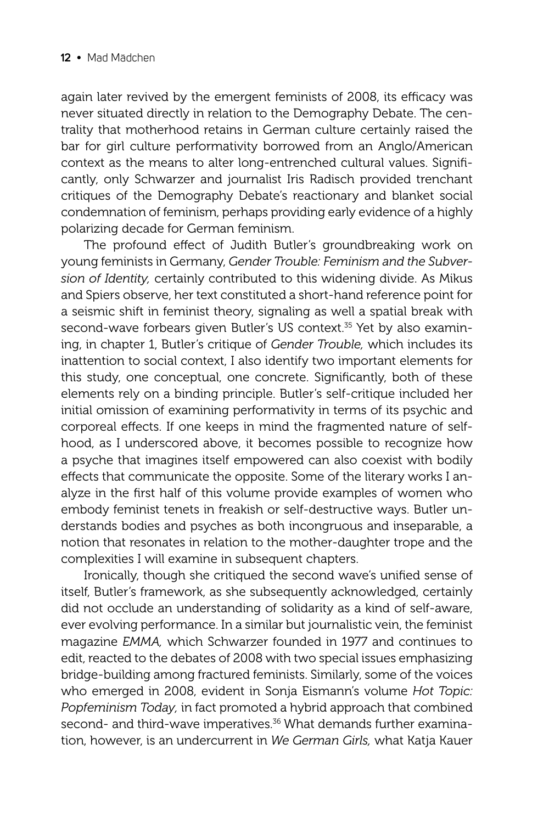again later revived by the emergent feminists of 2008, its efficacy was never situated directly in relation to the Demography Debate. The centrality that motherhood retains in German culture certainly raised the bar for girl culture performativity borrowed from an Anglo/American context as the means to alter long-entrenched cultural values. Significantly, only Schwarzer and journalist Iris Radisch provided trenchant critiques of the Demography Debate's reactionary and blanket social condemnation of feminism, perhaps providing early evidence of a highly polarizing decade for German feminism.

The profound effect of Judith Butler's groundbreaking work on young feminists in Germany, *Gender Trouble: Feminism and the Subversion of Identity,* certainly contributed to this widening divide. As Mikus and Spiers observe, her text constituted a short-hand reference point for a seismic shift in feminist theory, signaling as well a spatial break with second-wave forbears given Butler's US context.<sup>35</sup> Yet by also examining, in chapter 1, Butler's critique of *Gender Trouble,* which includes its inattention to social context, I also identify two important elements for this study, one conceptual, one concrete. Significantly, both of these elements rely on a binding principle. Butler's self-critique included her initial omission of examining performativity in terms of its psychic and corporeal effects. If one keeps in mind the fragmented nature of selfhood, as I underscored above, it becomes possible to recognize how a psyche that imagines itself empowered can also coexist with bodily effects that communicate the opposite. Some of the literary works I analyze in the first half of this volume provide examples of women who embody feminist tenets in freakish or self-destructive ways. Butler understands bodies and psyches as both incongruous and inseparable, a notion that resonates in relation to the mother-daughter trope and the complexities I will examine in subsequent chapters.

Ironically, though she critiqued the second wave's unified sense of itself, Butler's framework, as she subsequently acknowledged, certainly did not occlude an understanding of solidarity as a kind of self-aware, ever evolving performance. In a similar but journalistic vein, the feminist magazine *EMMA,* which Schwarzer founded in 1977 and continues to edit, reacted to the debates of 2008 with two special issues emphasizing bridge-building among fractured feminists. Similarly, some of the voices who emerged in 2008, evident in Sonja Eismann's volume *Hot Topic: Popfeminism Today,* in fact promoted a hybrid approach that combined second- and third-wave imperatives.<sup>36</sup> What demands further examination, however, is an undercurrent in *We German Girls,* what Katja Kauer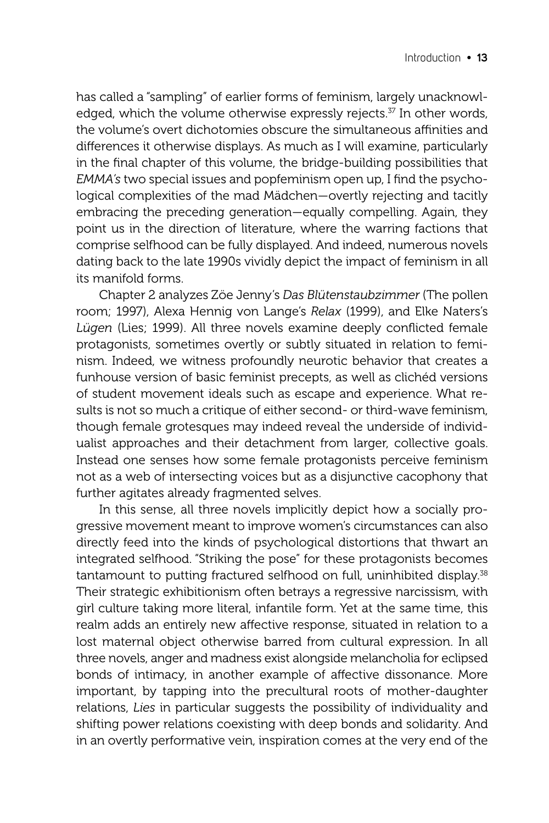has called a "sampling" of earlier forms of feminism, largely unacknowledged, which the volume otherwise expressly rejects.<sup>37</sup> In other words, the volume's overt dichotomies obscure the simultaneous affinities and differences it otherwise displays. As much as I will examine, particularly in the final chapter of this volume, the bridge-building possibilities that *EMMA's* two special issues and popfeminism open up, I find the psychological complexities of the mad Mädchen—overtly rejecting and tacitly embracing the preceding generation—equally compelling. Again, they point us in the direction of literature, where the warring factions that comprise selfhood can be fully displayed. And indeed, numerous novels dating back to the late 1990s vividly depict the impact of feminism in all its manifold forms.

Chapter 2 analyzes Zöe Jenny's *Das Blütenstaubzimmer* (The pollen room; 1997), Alexa Hennig von Lange's *Relax* (1999), and Elke Naters's Lügen (Lies; 1999). All three novels examine deeply conflicted female protagonists, sometimes overtly or subtly situated in relation to feminism. Indeed, we witness profoundly neurotic behavior that creates a funhouse version of basic feminist precepts, as well as clichéd versions of student movement ideals such as escape and experience. What results is not so much a critique of either second- or third-wave feminism, though female grotesques may indeed reveal the underside of individualist approaches and their detachment from larger, collective goals. Instead one senses how some female protagonists perceive feminism not as a web of intersecting voices but as a disjunctive cacophony that further agitates already fragmented selves.

In this sense, all three novels implicitly depict how a socially progressive movement meant to improve women's circumstances can also directly feed into the kinds of psychological distortions that thwart an integrated selfhood. "Striking the pose" for these protagonists becomes tantamount to putting fractured selfhood on full, uninhibited display.<sup>38</sup> Their strategic exhibitionism often betrays a regressive narcissism, with girl culture taking more literal, infantile form. Yet at the same time, this realm adds an entirely new affective response, situated in relation to a lost maternal object otherwise barred from cultural expression. In all three novels, anger and madness exist alongside melancholia for eclipsed bonds of intimacy, in another example of affective dissonance. More important, by tapping into the precultural roots of mother-daughter relations, *Lies* in particular suggests the possibility of individuality and shifting power relations coexisting with deep bonds and solidarity. And in an overtly performative vein, inspiration comes at the very end of the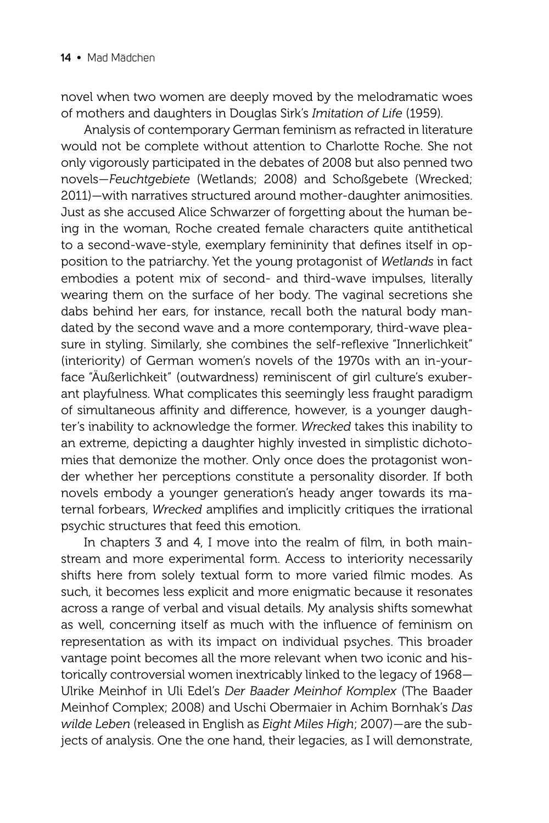novel when two women are deeply moved by the melodramatic woes of mothers and daughters in Douglas Sirk's *Imitation of Life* (1959)*.*

Analysis of contemporary German feminism as refracted in literature would not be complete without attention to Charlotte Roche. She not only vigorously participated in the debates of 2008 but also penned two novels—*Feuchtgebiete* (Wetlands; 2008) and Schoßgebete (Wrecked; 2011)—with narratives structured around mother-daughter animosities. Just as she accused Alice Schwarzer of forgetting about the human being in the woman, Roche created female characters quite antithetical to a second-wave-style, exemplary femininity that defines itself in opposition to the patriarchy. Yet the young protagonist of *Wetlands* in fact embodies a potent mix of second- and third-wave impulses, literally wearing them on the surface of her body. The vaginal secretions she dabs behind her ears, for instance, recall both the natural body mandated by the second wave and a more contemporary, third-wave pleasure in styling. Similarly, she combines the self-reflexive "Innerlichkeit" (interiority) of German women's novels of the 1970s with an in-yourface "Äußerlichkeit" (outwardness) reminiscent of girl culture's exuberant playfulness. What complicates this seemingly less fraught paradigm of simultaneous affinity and difference, however, is a younger daughter's inability to acknowledge the former. *Wrecked* takes this inability to an extreme, depicting a daughter highly invested in simplistic dichotomies that demonize the mother. Only once does the protagonist wonder whether her perceptions constitute a personality disorder. If both novels embody a younger generation's heady anger towards its maternal forbears, *Wrecked* amplifies and implicitly critiques the irrational psychic structures that feed this emotion.

In chapters 3 and 4, I move into the realm of film, in both mainstream and more experimental form. Access to interiority necessarily shifts here from solely textual form to more varied filmic modes. As such, it becomes less explicit and more enigmatic because it resonates across a range of verbal and visual details. My analysis shifts somewhat as well, concerning itself as much with the influence of feminism on representation as with its impact on individual psyches. This broader vantage point becomes all the more relevant when two iconic and historically controversial women inextricably linked to the legacy of 1968— Ulrike Meinhof in Uli Edel's *Der Baader Meinhof Komplex* (The Baader Meinhof Complex; 2008) and Uschi Obermaier in Achim Bornhak's *Das wilde Leben* (released in English as *Eight Miles High*; 2007)—are the subjects of analysis. One the one hand, their legacies, as I will demonstrate,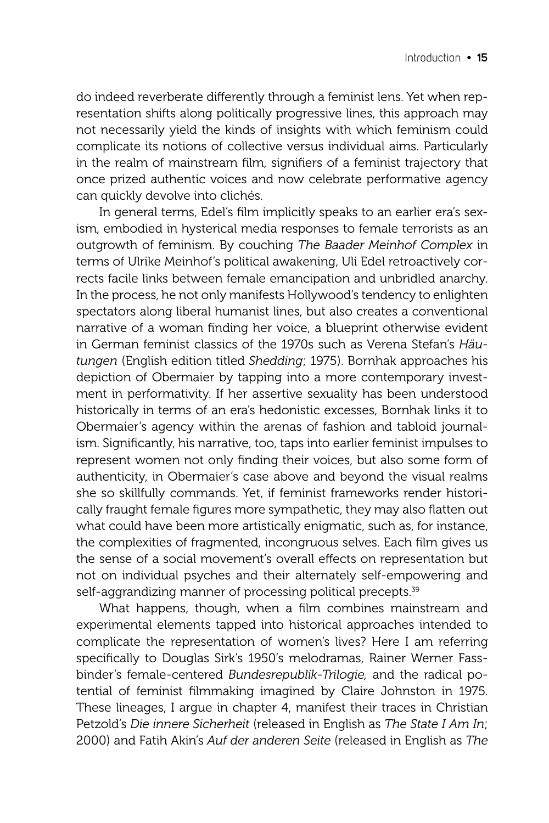do indeed reverberate differently through a feminist lens. Yet when representation shifts along politically progressive lines, this approach may not necessarily yield the kinds of insights with which feminism could complicate its notions of collective versus individual aims. Particularly in the realm of mainstream film, signifiers of a feminist trajectory that once prized authentic voices and now celebrate performative agency can quickly devolve into clichés.

In general terms, Edel's film implicitly speaks to an earlier era's sexism, embodied in hysterical media responses to female terrorists as an outgrowth of feminism. By couching *The Baader Meinhof Complex* in terms of Ulrike Meinhof's political awakening, Uli Edel retroactively corrects facile links between female emancipation and unbridled anarchy. In the process, he not only manifests Hollywood's tendency to enlighten spectators along liberal humanist lines, but also creates a conventional narrative of a woman finding her voice, a blueprint otherwise evident in German feminist classics of the 1970s such as Verena Stefan's *Häutungen* (English edition titled *Shedding*; 1975). Bornhak approaches his depiction of Obermaier by tapping into a more contemporary investment in performativity. If her assertive sexuality has been understood historically in terms of an era's hedonistic excesses, Bornhak links it to Obermaier's agency within the arenas of fashion and tabloid journalism. Significantly, his narrative, too, taps into earlier feminist impulses to represent women not only finding their voices, but also some form of authenticity, in Obermaier's case above and beyond the visual realms she so skillfully commands. Yet, if feminist frameworks render historically fraught female figures more sympathetic, they may also flatten out what could have been more artistically enigmatic, such as, for instance, the complexities of fragmented, incongruous selves. Each film gives us the sense of a social movement's overall effects on representation but not on individual psyches and their alternately self-empowering and self-aggrandizing manner of processing political precepts.<sup>39</sup>

What happens, though, when a film combines mainstream and experimental elements tapped into historical approaches intended to complicate the representation of women's lives? Here I am referring specifically to Douglas Sirk's 1950's melodramas, Rainer Werner Fassbinder's female-centered *Bundesrepublik-Trilogie,* and the radical potential of feminist filmmaking imagined by Claire Johnston in 1975. These lineages, I argue in chapter 4, manifest their traces in Christian Petzold's *Die innere Sicherheit* (released in English as *The State I Am In*; 2000) and Fatih Akin's *Auf der anderen Seite* (released in English as *The*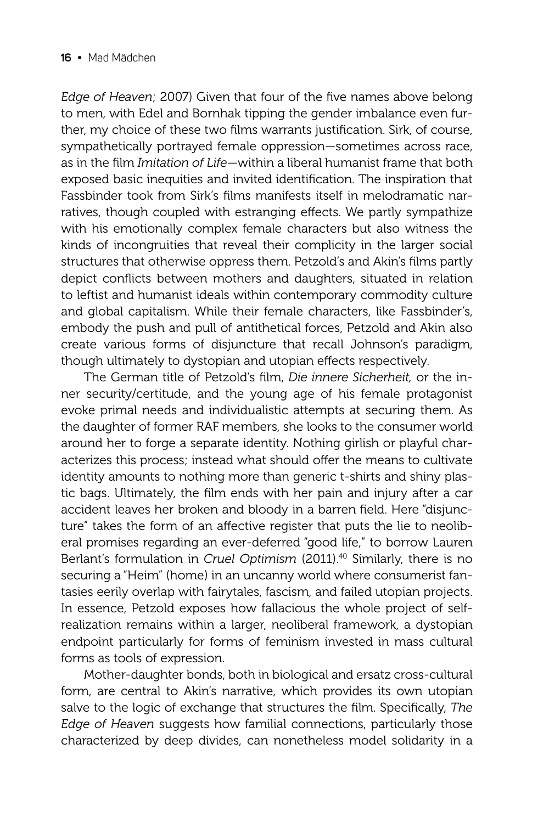*Edge of Heaven; 2007)* Given that four of the five names above belong to men, with Edel and Bornhak tipping the gender imbalance even further, my choice of these two films warrants justification. Sirk, of course, sympathetically portrayed female oppression—sometimes across race, as in the film *Imitation of Life*—within a liberal humanist frame that both exposed basic inequities and invited identification. The inspiration that Fassbinder took from Sirk's films manifests itself in melodramatic narratives, though coupled with estranging effects. We partly sympathize with his emotionally complex female characters but also witness the kinds of incongruities that reveal their complicity in the larger social structures that otherwise oppress them. Petzold's and Akin's films partly depict conflicts between mothers and daughters, situated in relation to leftist and humanist ideals within contemporary commodity culture and global capitalism. While their female characters, like Fassbinder's, embody the push and pull of antithetical forces, Petzold and Akin also create various forms of disjuncture that recall Johnson's paradigm, though ultimately to dystopian and utopian effects respectively.

The German title of Petzold's film, *Die innere Sicherheit*, or the inner security/certitude, and the young age of his female protagonist evoke primal needs and individualistic attempts at securing them. As the daughter of former RAF members, she looks to the consumer world around her to forge a separate identity. Nothing girlish or playful characterizes this process; instead what should offer the means to cultivate identity amounts to nothing more than generic t-shirts and shiny plastic bags. Ultimately, the film ends with her pain and injury after a car accident leaves her broken and bloody in a barren field. Here "disjuncture" takes the form of an affective register that puts the lie to neoliberal promises regarding an ever-deferred "good life," to borrow Lauren Berlant's formulation in *Cruel Optimism* (2011).40 Similarly, there is no securing a "Heim" (home) in an uncanny world where consumerist fantasies eerily overlap with fairytales, fascism, and failed utopian projects. In essence, Petzold exposes how fallacious the whole project of selfrealization remains within a larger, neoliberal framework, a dystopian end point particularly for forms of feminism invested in mass cultural forms as tools of expression.

Mother-daughter bonds, both in biological and ersatz cross-cultural form, are central to Akin's narrative, which provides its own utopian salve to the logic of exchange that structures the film. Specifically, *The Edge of Heaven* suggests how familial connections, particularly those characterized by deep divides, can nonetheless model solidarity in a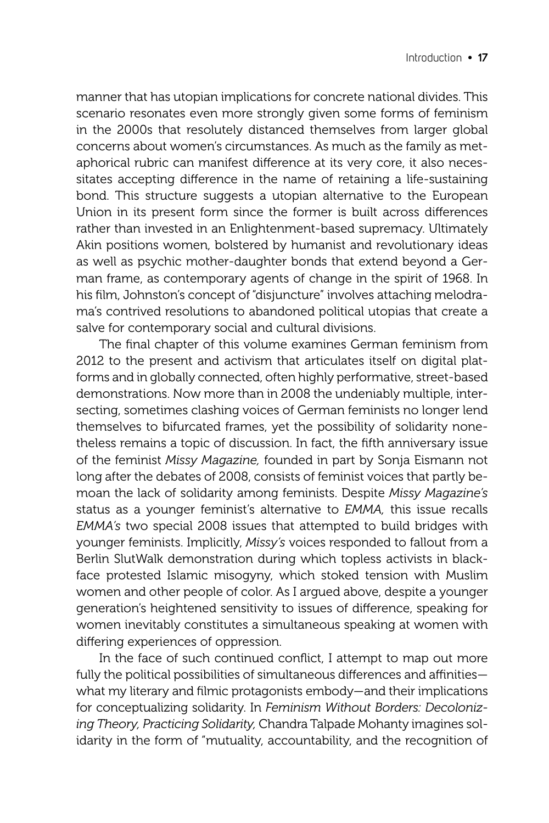manner that has utopian implications for concrete national divides. This scenario resonates even more strongly given some forms of feminism in the 2000s that resolutely distanced themselves from larger global concerns about women's circumstances. As much as the family as metaphorical rubric can manifest difference at its very core, it also necessitates accepting difference in the name of retaining a life-sustaining bond. This structure suggests a utopian alternative to the European Union in its present form since the former is built across differences rather than invested in an Enlightenment-based supremacy. Ultimately Akin positions women, bolstered by humanist and revolutionary ideas as well as psychic mother-daughter bonds that extend beyond a German frame, as contemporary agents of change in the spirit of 1968. In his film, Johnston's concept of "disjuncture" involves attaching melodrama's contrived resolutions to abandoned political utopias that create a salve for contemporary social and cultural divisions.

The final chapter of this volume examines German feminism from 2012 to the present and activism that articulates itself on digital platforms and in globally connected, often highly performative, street-based demonstrations. Now more than in 2008 the undeniably multiple, intersecting, sometimes clashing voices of German feminists no longer lend themselves to bifurcated frames, yet the possibility of solidarity nonetheless remains a topic of discussion. In fact, the fifth anniversary issue of the feminist *Missy Magazine,* founded in part by Sonja Eismann not long after the debates of 2008, consists of feminist voices that partly bemoan the lack of solidarity among feminists. Despite *Missy Magazine's*  status as a younger feminist's alternative to *EMMA,* this issue recalls *EMMA's* two special 2008 issues that attempted to build bridges with younger feminists. Implicitly, *Missy's* voices responded to fallout from a Berlin SlutWalk demonstration during which topless activists in blackface protested Islamic misogyny, which stoked tension with Muslim women and other people of color. As I argued above, despite a younger generation's heightened sensitivity to issues of difference, speaking for women inevitably constitutes a simultaneous speaking at women with differing experiences of oppression.

In the face of such continued conflict, I attempt to map out more fully the political possibilities of simultaneous differences and affinitieswhat my literary and filmic protagonists embody—and their implications for conceptualizing solidarity. In *Feminism Without Borders: Decolonizing Theory, Practicing Solidarity,* Chandra Talpade Mohanty imagines solidarity in the form of "mutuality, accountability, and the recognition of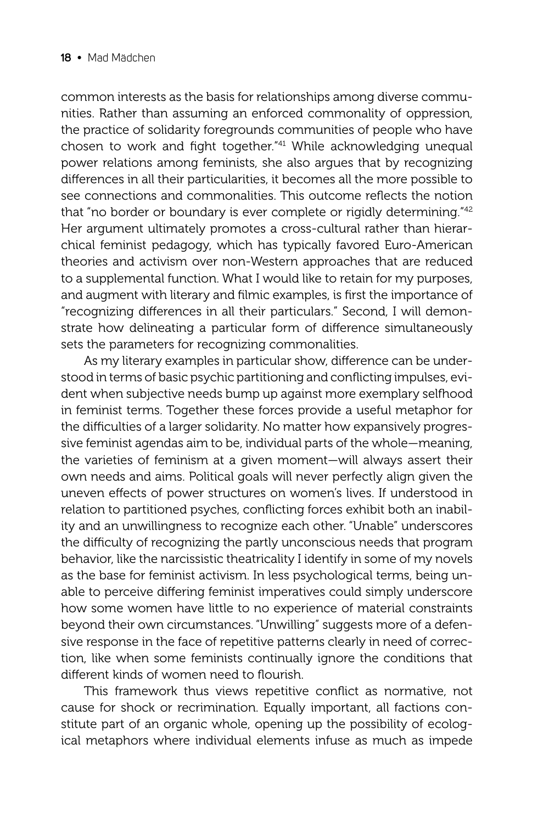common interests as the basis for relationships among diverse communities. Rather than assuming an enforced commonality of oppression, the practice of solidarity foregrounds communities of people who have chosen to work and fight together."<sup>41</sup> While acknowledging unequal power relations among feminists, she also argues that by recognizing differences in all their particularities, it becomes all the more possible to see connections and commonalities. This outcome reflects the notion that "no border or boundary is ever complete or rigidly determining."<sup>42</sup> Her argument ultimately promotes a cross-cultural rather than hierarchical feminist pedagogy, which has typically favored Euro-American theories and activism over non-Western approaches that are reduced to a supplemental function. What I would like to retain for my purposes, and augment with literary and filmic examples, is first the importance of "recognizing differences in all their particulars." Second, I will demonstrate how delineating a particular form of difference simultaneously sets the parameters for recognizing commonalities.

As my literary examples in particular show, difference can be understood in terms of basic psychic partitioning and conflicting impulses, evident when subjective needs bump up against more exemplary selfhood in feminist terms. Together these forces provide a useful metaphor for the difficulties of a larger solidarity. No matter how expansively progressive feminist agendas aim to be, individual parts of the whole—meaning, the varieties of feminism at a given moment—will always assert their own needs and aims. Political goals will never perfectly align given the uneven effects of power structures on women's lives. If understood in relation to partitioned psyches, conflicting forces exhibit both an inability and an unwillingness to recognize each other. "Unable" underscores the difficulty of recognizing the partly unconscious needs that program behavior, like the narcissistic theatricality I identify in some of my novels as the base for feminist activism. In less psychological terms, being unable to perceive differing feminist imperatives could simply underscore how some women have little to no experience of material constraints beyond their own circumstances. "Unwilling" suggests more of a defensive response in the face of repetitive patterns clearly in need of correction, like when some feminists continually ignore the conditions that different kinds of women need to flourish.

This framework thus views repetitive conflict as normative, not cause for shock or recrimination. Equally important, all factions constitute part of an organic whole, opening up the possibility of ecological metaphors where individual elements infuse as much as impede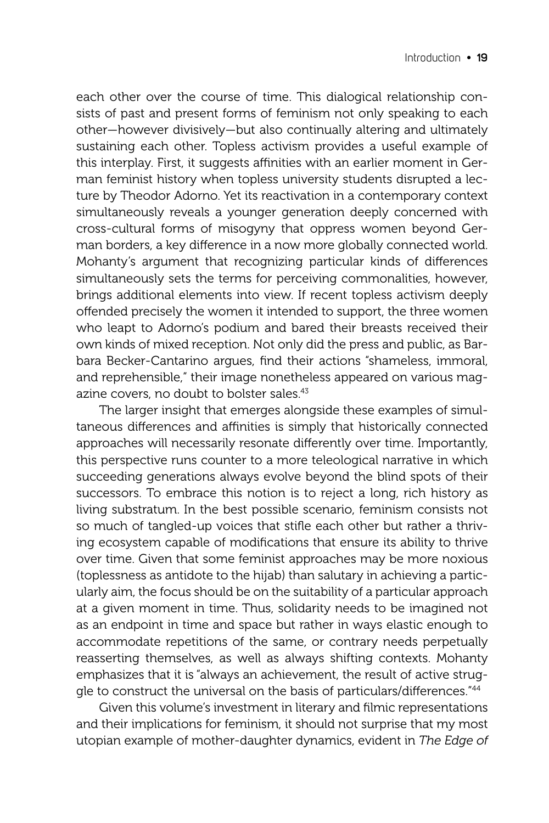each other over the course of time. This dialogical relationship consists of past and present forms of feminism not only speaking to each other—however divisively—but also continually altering and ultimately sustaining each other. Topless activism provides a useful example of this interplay. First, it suggests affinities with an earlier moment in German feminist history when topless university students disrupted a lecture by Theodor Adorno. Yet its reactivation in a contemporary context simultaneously reveals a younger generation deeply concerned with cross-cultural forms of misogyny that oppress women beyond German borders, a key difference in a now more globally connected world. Mohanty's argument that recognizing particular kinds of differences simultaneously sets the terms for perceiving commonalities, however, brings additional elements into view. If recent topless activism deeply offended precisely the women it intended to support, the three women who leapt to Adorno's podium and bared their breasts received their own kinds of mixed reception. Not only did the press and public, as Barbara Becker-Cantarino argues, find their actions "shameless, immoral, and reprehensible," their image nonetheless appeared on various magazine covers, no doubt to bolster sales.<sup>43</sup>

The larger insight that emerges alongside these examples of simultaneous differences and affinities is simply that historically connected approaches will necessarily resonate differently over time. Importantly, this perspective runs counter to a more teleological narrative in which succeeding generations always evolve beyond the blind spots of their successors. To embrace this notion is to reject a long, rich history as living substratum. In the best possible scenario, feminism consists not so much of tangled-up voices that stifle each other but rather a thriving ecosystem capable of modifications that ensure its ability to thrive over time. Given that some feminist approaches may be more noxious (toplessness as antidote to the hijab) than salutary in achieving a particularly aim, the focus should be on the suitability of a particular approach at a given moment in time. Thus, solidarity needs to be imagined not as an endpoint in time and space but rather in ways elastic enough to accommodate repetitions of the same, or contrary needs perpetually reasserting themselves, as well as always shifting contexts. Mohanty emphasizes that it is "always an achievement, the result of active struggle to construct the universal on the basis of particulars/differences."<sup>44</sup>

Given this volume's investment in literary and filmic representations and their implications for feminism, it should not surprise that my most utopian example of mother-daughter dynamics, evident in *The Edge of*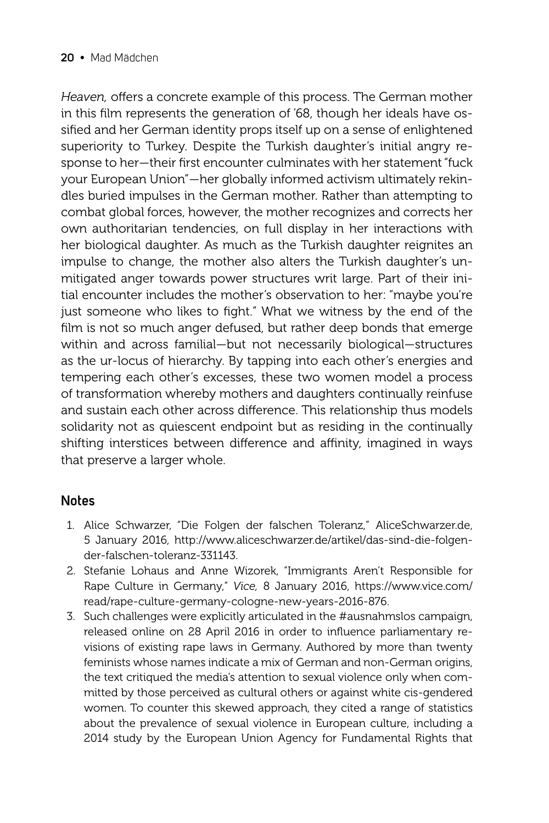Heaven, offers a concrete example of this process. The German mother in this film represents the generation of '68, though her ideals have ossified and her German identity props itself up on a sense of enlightened superiority to Turkey. Despite the Turkish daughter's initial angry response to her-their first encounter culminates with her statement "fuck your European Union"—her globally informed activism ultimately rekindles buried impulses in the German mother. Rather than attempting to combat global forces, however, the mother recognizes and corrects her own authoritarian tendencies, on full display in her interactions with her biological daughter. As much as the Turkish daughter reignites an impulse to change, the mother also alters the Turkish daughter's unmitigated anger towards power structures writ large. Part of their initial encounter includes the mother's observation to her: "maybe you're just someone who likes to fight." What we witness by the end of the film is not so much anger defused, but rather deep bonds that emerge within and across familial—but not necessarily biological—structures as the ur-locus of hierarchy. By tapping into each other's energies and tempering each other's excesses, these two women model a process of transformation whereby mothers and daughters continually reinfuse and sustain each other across difference. This relationship thus models solidarity not as quiescent endpoint but as residing in the continually shifting interstices between difference and affinity, imagined in ways that preserve a larger whole.

#### **Notes**

- 1. Alice Schwarzer, "Die Folgen der falschen Toleranz," AliceSchwarzer.de, 5 January 2016, http://www.aliceschwarzer.de/artikel/das-sind-die-folgender-falschen-toleranz-331143.
- 2. Stefanie Lohaus and Anne Wizorek, "Immigrants Aren't Responsible for Rape Culture in Germany," *Vice,* 8 January 2016, https://www.vice.com/ read/rape-culture-germany-cologne-new-years-2016-876.
- 3. Such challenges were explicitly articulated in the #ausnahmslos campaign, released online on 28 April 2016 in order to influence parliamentary revisions of existing rape laws in Germany. Authored by more than twenty feminists whose names indicate a mix of German and non-German origins, the text critiqued the media's attention to sexual violence only when committed by those perceived as cultural others or against white cis-gendered women. To counter this skewed approach, they cited a range of statistics about the prevalence of sexual violence in European culture, including a 2014 study by the European Union Agency for Fundamental Rights that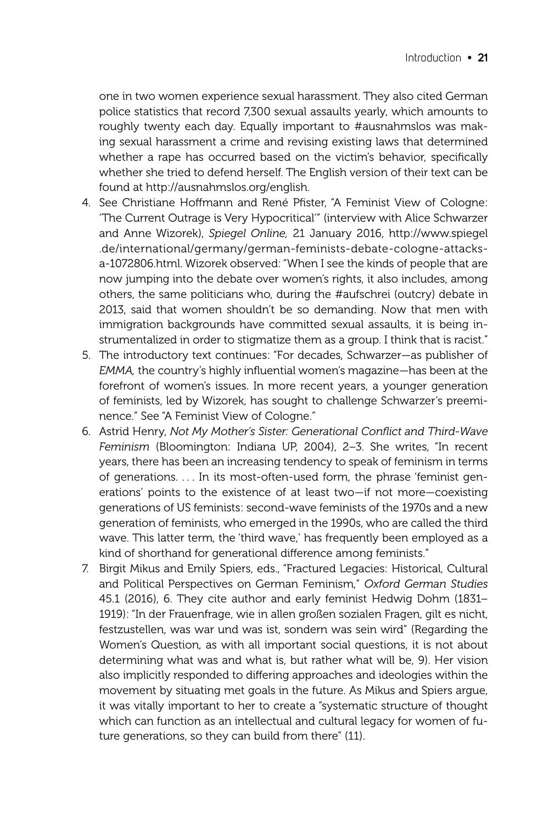one in two women experience sexual harassment. They also cited German police statistics that record 7,300 sexual assaults yearly, which amounts to roughly twenty each day. Equally important to #ausnahmslos was making sexual harassment a crime and revising existing laws that determined whether a rape has occurred based on the victim's behavior, specifically whether she tried to defend herself. The English version of their text can be found at http://ausnahmslos.org/english.

- 4. See Christiane Hoffmann and René Pfister, "A Feminist View of Cologne: 'The Current Outrage is Very Hypocritical'" (interview with Alice Schwarzer and Anne Wizorek), *Spiegel Online,* 21 January 2016, http://www.spiegel .de/international/germany/german-feminists-debate-cologne-attacksa-1072806.html. Wizorek observed: "When I see the kinds of people that are now jumping into the debate over women's rights, it also includes, among others, the same politicians who, during the #aufschrei (outcry) debate in 2013, said that women shouldn't be so demanding. Now that men with immigration backgrounds have committed sexual assaults, it is being instrumentalized in order to stigmatize them as a group. I think that is racist."
- 5. The introductory text continues: "For decades, Schwarzer—as publisher of *EMMA*, the country's highly influential women's magazine—has been at the forefront of women's issues. In more recent years, a younger generation of feminists, led by Wizorek, has sought to challenge Schwarzer's preeminence." See "A Feminist View of Cologne."
- 6. Astrid Henry, *Not My Mother's Sister: Generational Conflict and Third-Wave Feminism* (Bloomington: Indiana UP, 2004), 2–3. She writes, "In recent years, there has been an increasing tendency to speak of feminism in terms of generations. . . . In its most-often-used form, the phrase 'feminist generations' points to the existence of at least two—if not more—coexisting generations of US feminists: second-wave feminists of the 1970s and a new generation of feminists, who emerged in the 1990s, who are called the third wave. This latter term, the 'third wave,' has frequently been employed as a kind of shorthand for generational difference among feminists."
- 7. Birgit Mikus and Emily Spiers, eds., "Fractured Legacies: Historical, Cultural and Political Perspectives on German Feminism," *Oxford German Studies*  45.1 (2016), 6. They cite author and early feminist Hedwig Dohm (1831– 1919): "In der Frauenfrage, wie in allen großen sozialen Fragen, gilt es nicht, festzustellen, was war und was ist, sondern was sein wird" (Regarding the Women's Question, as with all important social questions, it is not about determining what was and what is, but rather what will be, 9). Her vision also implicitly responded to differing approaches and ideologies within the movement by situating met goals in the future. As Mikus and Spiers argue, it was vitally important to her to create a "systematic structure of thought which can function as an intellectual and cultural legacy for women of future generations, so they can build from there" (11).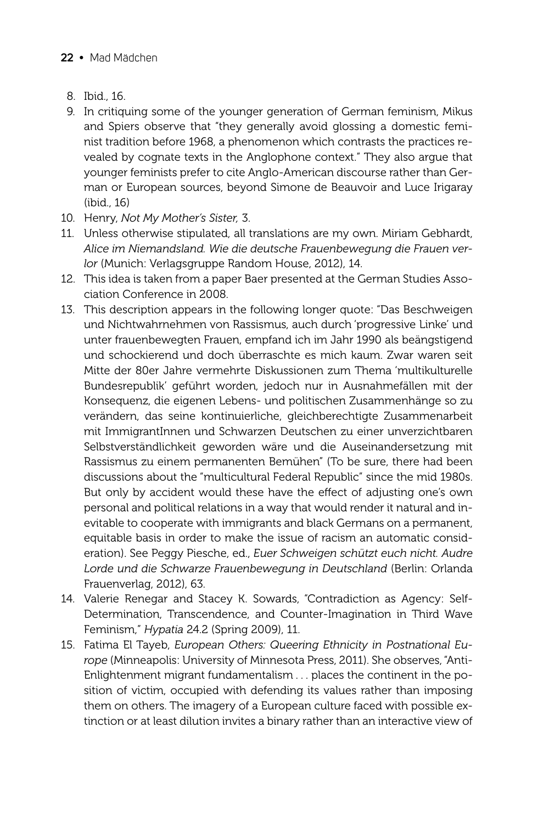#### **22 •** Mad Mädchen

- 8. Ibid., 16.
- 9. In critiquing some of the younger generation of German feminism, Mikus and Spiers observe that "they generally avoid glossing a domestic feminist tradition before 1968, a phenomenon which contrasts the practices revealed by cognate texts in the Anglophone context." They also argue that younger feminists prefer to cite Anglo-American discourse rather than German or European sources, beyond Simone de Beauvoir and Luce Irigaray (ibid., 16)
- 10. Henry, *Not My Mother's Sister,* 3.
- 11. Unless otherwise stipulated, all translations are my own. Miriam Gebhardt, *Alice im Niemandsland. Wie die deutsche Frauenbewegung die Frauen verlor* (Munich: Verlagsgruppe Random House, 2012), 14.
- 12. This idea is taken from a paper Baer presented at the German Studies Association Conference in 2008.
- 13. This description appears in the following longer quote: "Das Beschweigen und Nichtwahrnehmen von Rassismus, auch durch 'progressive Linke' und unter frauenbewegten Frauen, empfand ich im Jahr 1990 als beängstigend und schockierend und doch überraschte es mich kaum. Zwar waren seit Mitte der 80er Jahre vermehrte Diskussionen zum Thema 'multikulturelle Bundesrepublik' geführt worden, jedoch nur in Ausnahmefällen mit der Konsequenz, die eigenen Lebens- und politischen Zusammenhänge so zu verändern, das seine kontinuierliche, gleichberechtigte Zusammenarbeit mit ImmigrantInnen und Schwarzen Deutschen zu einer unverzichtbaren Selbstverständlichkeit geworden wäre und die Auseinandersetzung mit Rassismus zu einem permanenten Bemühen" (To be sure, there had been discussions about the "multicultural Federal Republic" since the mid 1980s. But only by accident would these have the effect of adjusting one's own personal and political relations in a way that would render it natural and inevitable to cooperate with immigrants and black Germans on a permanent, equitable basis in order to make the issue of racism an automatic consideration). See Peggy Piesche, ed., *Euer Schweigen schützt euch nicht. Audre Lorde und die Schwarze Frauenbewegung in Deutschland* (Berlin: Orlanda Frauenverlag, 2012), 63.
- 14. Valerie Renegar and Stacey K. Sowards, "Contradiction as Agency: Self-Determination, Transcendence, and Counter-Imagination in Third Wave Feminism," *Hypatia* 24.2 (Spring 2009), 11.
- 15. Fatima El Tayeb, *European Others: Queering Ethnicity in Postnational Europe* (Minneapolis: University of Minnesota Press, 2011). She observes, "Anti-Enlightenment migrant fundamentalism . . . places the continent in the position of victim, occupied with defending its values rather than imposing them on others. The imagery of a European culture faced with possible extinction or at least dilution invites a binary rather than an interactive view of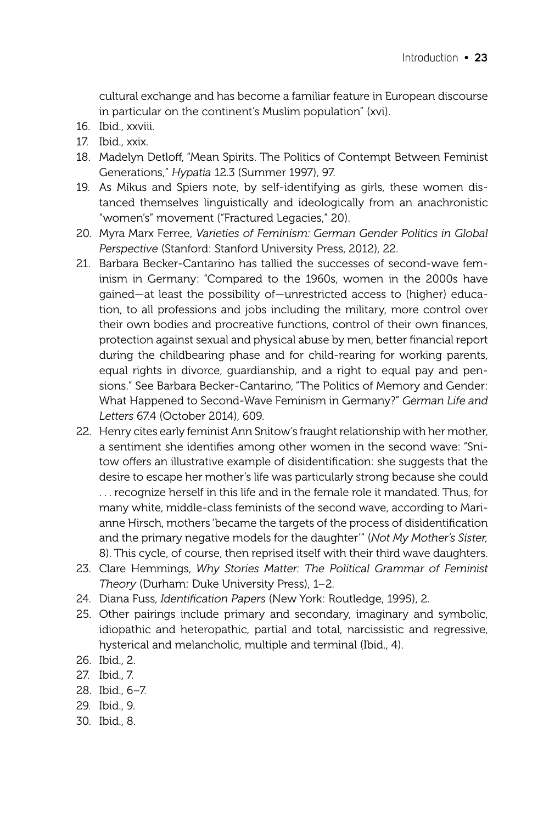cultural exchange and has become a familiar feature in European discourse in particular on the continent's Muslim population" (xvi).

- 16. Ibid., xxviii.
- 17. Ibid., xxix.
- 18. Madelyn Detloff, "Mean Spirits. The Politics of Contempt Between Feminist Generations," *Hypatia* 12.3 (Summer 1997), 97.
- 19. As Mikus and Spiers note, by self-identifying as girls, these women distanced themselves linguistically and ideologically from an anachronistic "women's" movement ("Fractured Legacies," 20).
- 20. Myra Marx Ferree, *Varieties of Feminism: German Gender Politics in Global Perspective* (Stanford: Stanford University Press, 2012), 22.
- 21. Barbara Becker-Cantarino has tallied the successes of second-wave feminism in Germany: "Compared to the 1960s, women in the 2000s have gained—at least the possibility of—unrestricted access to (higher) education, to all professions and jobs including the military, more control over their own bodies and procreative functions, control of their own finances, protection against sexual and physical abuse by men, better financial report during the childbearing phase and for child-rearing for working parents, equal rights in divorce, guardianship, and a right to equal pay and pensions." See Barbara Becker-Cantarino, "The Politics of Memory and Gender: What Happened to Second-Wave Feminism in Germany?" *German Life and Letters* 67.4 (October 2014), 609.
- 22. Henry cites early feminist Ann Snitow's fraught relationship with her mother, a sentiment she identifies among other women in the second wave: "Snitow offers an illustrative example of disidentification: she suggests that the desire to escape her mother's life was particularly strong because she could . . . recognize herself in this life and in the female role it mandated. Thus, for many white, middle-class feminists of the second wave, according to Marianne Hirsch, mothers 'became the targets of the process of disidentification and the primary negative models for the daughter'" (*Not My Mother's Sister,* 8). This cycle, of course, then reprised itself with their third wave daughters.
- 23. Clare Hemmings, *Why Stories Matter: The Political Grammar of Feminist Theory* (Durham: Duke University Press), 1–2.
- 24. Diana Fuss, *Identification Papers* (New York: Routledge, 1995), 2.
- 25. Other pairings include primary and secondary, imaginary and symbolic, idiopathic and heteropathic, partial and total, narcissistic and regressive, hysterical and melancholic, multiple and terminal (Ibid., 4).
- 26. Ibid., 2.
- 27. Ibid., 7.
- 28. Ibid., 6–7.
- 29. Ibid., 9.
- 30. Ibid., 8.